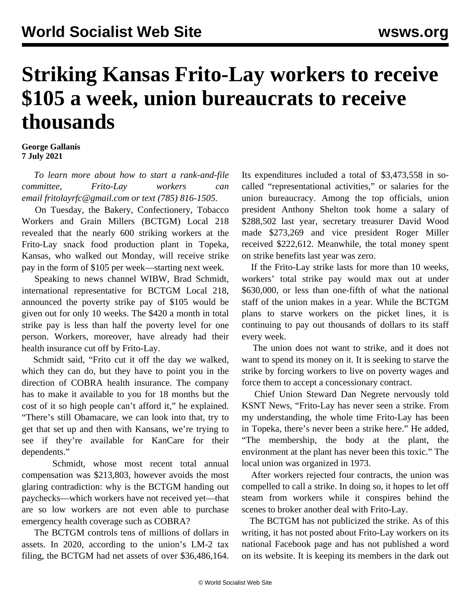## **Striking Kansas Frito-Lay workers to receive \$105 a week, union bureaucrats to receive thousands**

## **George Gallanis 7 July 2021**

 *To learn more about how to start a rank-and-file committee, Frito-Lay workers can email<fritolayrfc@gmail.com> or text (785) 816-1505.*

 On Tuesday, the Bakery, Confectionery, Tobacco Workers and Grain Millers (BCTGM) Local 218 revealed that the nearly 600 striking workers at the Frito-Lay snack food production plant in Topeka, Kansas, who walked out Monday, will receive strike pay in the form of \$105 per week—starting next week.

 Speaking to news channel WIBW, Brad Schmidt, international representative for BCTGM Local 218, announced the poverty strike pay of \$105 would be given out for only 10 weeks. The \$420 a month in total strike pay is less than half the poverty level for one person. Workers, moreover, have already had their health insurance cut off by Frito-Lay.

 Schmidt said, "Frito cut it off the day we walked, which they can do, but they have to point you in the direction of COBRA health insurance. The company has to make it available to you for 18 months but the cost of it so high people can't afford it," he explained. "There's still Obamacare, we can look into that, try to get that set up and then with Kansans, we're trying to see if they're available for KanCare for their dependents."

 Schmidt, whose most recent total [annual](https://olmsapps.dol.gov/query/orgReport.do?rptId=749811&rptForm=LM2Form) [compensation was \\$213,803](https://olmsapps.dol.gov/query/orgReport.do?rptId=749811&rptForm=LM2Form), however avoids the most glaring contradiction: why is the BCTGM handing out paychecks—which workers have not received yet—that are so low workers are not even able to purchase emergency health coverage such as COBRA?

 The BCTGM controls tens of millions of dollars in assets. In 2020, according to the union's [LM-2 tax](https://olmsapps.dol.gov/query/orgReport.do?rptId=749811&rptForm=LM2Form) [filing](https://olmsapps.dol.gov/query/orgReport.do?rptId=749811&rptForm=LM2Form), the BCTGM had net assets of over \$36,486,164. Its expenditures included a total of \$3,473,558 in socalled "representational activities," or salaries for the union bureaucracy. Among the top officials, union president Anthony Shelton took home a salary of \$288,502 last year, secretary treasurer David Wood made \$273,269 and vice president Roger Miller received \$222,612. Meanwhile, the total money spent on strike benefits last year was zero.

 If the Frito-Lay strike lasts for more than 10 weeks, workers' total strike pay would max out at under \$630,000, or less than one-fifth of what the national staff of the union makes in a year. While the BCTGM plans to starve workers on the picket lines, it is continuing to pay out thousands of dollars to its staff every week.

 The union does not want to strike, and it does not want to spend its money on it. It is seeking to starve the strike by forcing workers to live on poverty wages and force them to accept a concessionary contract.

 Chief Union Steward Dan Negrete nervously told KSNT News, "Frito-Lay has never seen a strike. From my understanding, the whole time Frito-Lay has been in Topeka, there's never been a strike here." He added, "The membership, the body at the plant, the environment at the plant has never been this toxic." The local union was organized in 1973.

 After workers rejected four contracts, the union was compelled to call a strike. In doing so, it hopes to let off steam from workers while it conspires behind the scenes to broker another deal with Frito-Lay.

 The BCTGM has not publicized the strike. As of this writing, it has not posted about Frito-Lay workers on its national Facebook page and has not published a word on its website. It is keeping its members in the dark out